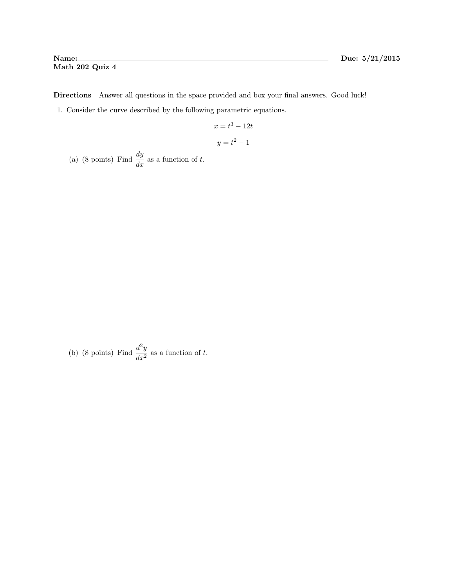Directions Answer all questions in the space provided and box your final answers. Good luck!

1. Consider the curve described by the following parametric equations.

$$
x = t^3 - 12t
$$

$$
y = t^2 - 1
$$

(a) (8 points) Find  $\frac{dy}{dx}$  as a function of t.

(b) (8 points) Find  $\frac{d^2y}{dx^2}$  $\frac{d^2y}{dx^2}$  as a function of t.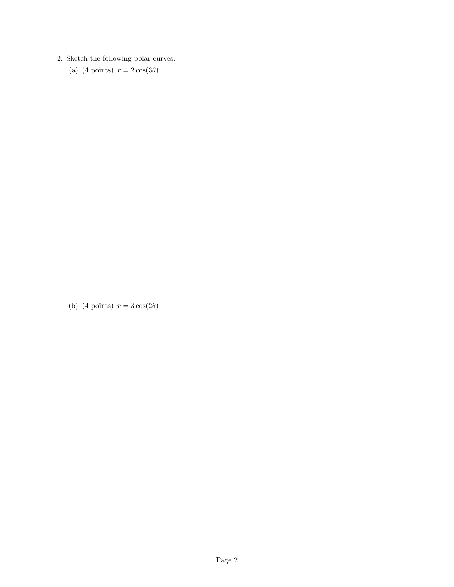2. Sketch the following polar curves.

(a) (4 points)  $r = 2\cos(3\theta)$ 

(b) (4 points)  $r = 3\cos(2\theta)$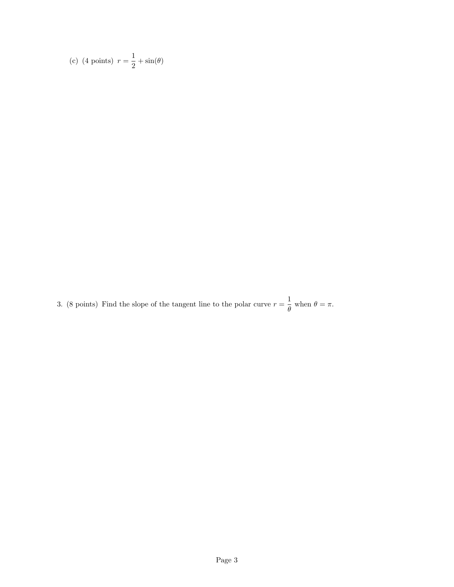(c) (4 points) 
$$
r = \frac{1}{2} + \sin(\theta)
$$

3. (8 points) Find the slope of the tangent line to the polar curve  $r = \frac{1}{a}$  $\frac{1}{\theta}$  when  $\theta = \pi$ .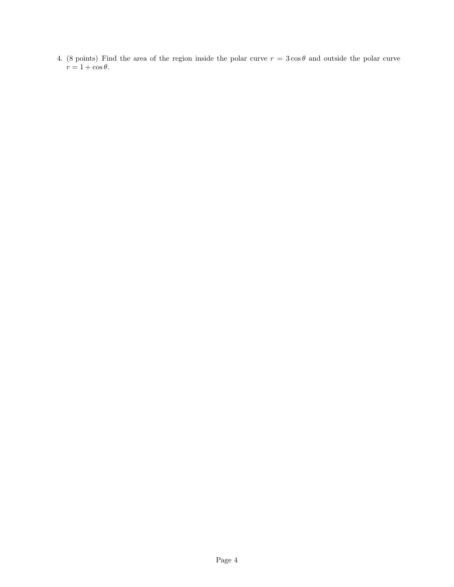4. (8 points) Find the area of the region inside the polar curve  $r = 3 \cos \theta$  and outside the polar curve  $r = 1 + \cos \theta.$